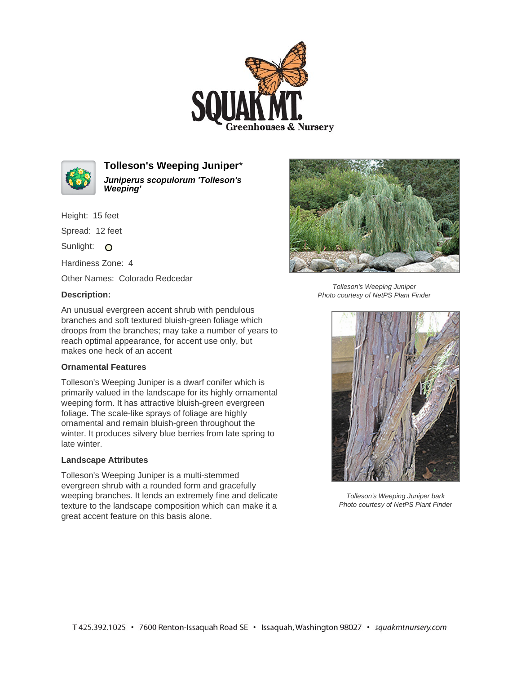



**Tolleson's Weeping Juniper**\* **Juniperus scopulorum 'Tolleson's Weeping'**

Height: 15 feet

Spread: 12 feet

Sunlight: O

Hardiness Zone: 4

Other Names: Colorado Redcedar

## **Description:**



Tolleson's Weeping Juniper Photo courtesy of NetPS Plant Finder

An unusual evergreen accent shrub with pendulous branches and soft textured bluish-green foliage which droops from the branches; may take a number of years to reach optimal appearance, for accent use only, but makes one heck of an accent

## **Ornamental Features**

Tolleson's Weeping Juniper is a dwarf conifer which is primarily valued in the landscape for its highly ornamental weeping form. It has attractive bluish-green evergreen foliage. The scale-like sprays of foliage are highly ornamental and remain bluish-green throughout the winter. It produces silvery blue berries from late spring to late winter.

## **Landscape Attributes**

Tolleson's Weeping Juniper is a multi-stemmed evergreen shrub with a rounded form and gracefully weeping branches. It lends an extremely fine and delicate texture to the landscape composition which can make it a great accent feature on this basis alone.



Tolleson's Weeping Juniper bark Photo courtesy of NetPS Plant Finder